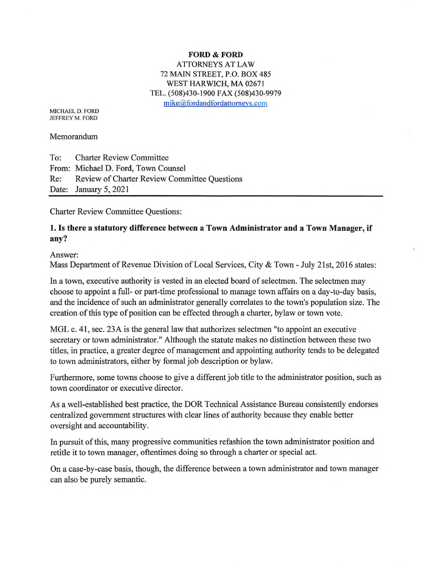#### **FORD & FORD** ATTORNEYS AT LAW 72 MAIN STREET, P.O. BOX 485 WEST HARWICH, MA 02671 TEL. (508)430-1900 FAX (508)430-9979  $mike@ford and fordattornevs.com$

MICHAEL D. FORD JEFFREY M. FORD

Memorandum

To: Charter Review Committee From: Michael D. Ford, Town Counsel Re: Review of Charter Review Committee Questions Date: January 5, 2021

Charter Review Committee Questions:

## 1. Is there a statutory difference between a Town Administrator and a Town Manager, if any?

Answer:

Mass Department of Revenue Division of Local Services, City & Town - July 21st, 2016 states:

In a town, executive authority is vested in an elected board of selectmen. The selectmen may choose to appoint a full- or part-time professional to manage town affairs on a day-to-day basis, and the incidence of such an administrator generally correlates to the town's population size. The creation of this type of position can be effected through a charter, bylaw or town vote.

MGL c. 41, sec. 23A is the general law that authorizes selectmen "to appoint an executive secretary or town administrator." Although the statute makes no distinction between these two titles, in practice, a greater degree of management and appointing authority tends to be delegated to town administrators, either by formal job description or bylaw.

Furthermore, some towns choose to give a different job title to the administrator position, such as town coordinator or executive director.

As a well-established best practice, the DOR Technical Assistance Bureau consistently endorses centralized government structures with clear lines of authority because they enable better oversight and accountability.

In pursuit of this, many progressive communities refashion the town administrator position and retitle it to town manager, oftentimes doing so through a charter or special act.

On a case-by-case basis, though, the difference between a town administrator and town manager can also be purely semantic.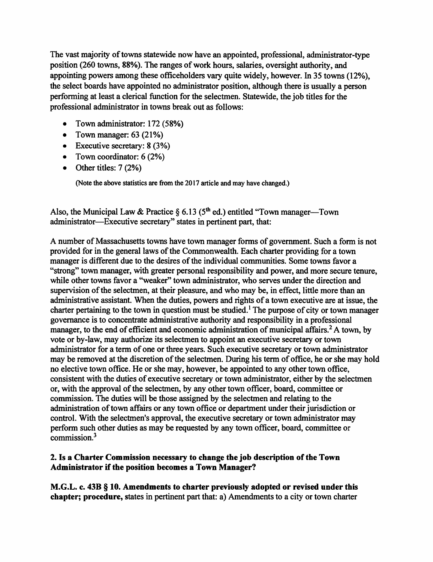The vast majority of towns statewide now have an appointed, professional, administrator-type position (260 towns, 88%). The ranges of work hours, salaries, oversight authority, and appointing powers among these officeholders vary quite widely, however. In 35 towns (12%), the select boards have appointed no administrator position, although there is usually a person performing at least a clerical function for the selectmen. Statewide, the job titles for the professional administrator in towns break out as follows:

- Town administrator: 172 (58%)
- Town manager:  $63$  (21%)
- Executive secretary: 8 (3%)
- Town coordinator: 6 (2%)
- Other titles: 7 (2%)

**(Note the above statistics are from the 2017 article and may have changed.)**

Also, the Municipal Law & Practice  $\S 6.13$  (5<sup>th</sup> ed.) entitled "Town manager—Town" administrator—Executive secretary" states in pertinent part, that:

A number of Massachusetts towns have town manager forms of government. Such a form is not provided for in the general laws of the Commonwealth. Each charter providing for a town manager is different due to the desires of the individual communities. Some towns favor a "strong" town manager, with greater personal responsibility and power, and more secure tenure, while other towns favor a "weaker" town administrator, who serves under the direction and supervision of the selectmen, at their pleasure, and who may be, in effect, little more than an administrative assistant. When the duties, powers and rights of a town executive are at issue, the charter pertaining to the town in question must be studied.<sup>1</sup> The purpose of city or town manager governance is to concentrate administrative authority and responsibility in a professional manager, to the end of efficient and economic administration of municipal affairs.<sup>2</sup> A town, by vote or by-law, may authorize its selectmen to appoint an executive secretary or town administrator for a term of one or three years. Such executive secretary or town administrator may be removed at the discretion of the selectmen. During his term of office, he or she may hold no elective town office. He or she may, however, be appointed to any other town office, consistent with the duties of executive secretary or town administrator, either by the selectmen or, with the approval of the selectmen, by any other town officer, board, committee or commission. The duties will be those assigned by the selectmen and relating to the administration of town affairs or any town office or department under their jurisdiction or control. With the selectmen's approval, the executive secretary or town administrator may perform such other duties as may be requested by any town officer, board, committee or commission.3

#### **2. Is a Charter Commission necessary to change the job description ofthe Town Administrator ifthe position becomes a Town Manager?**

**M.G.L. c. 43B § 10. Amendments to charter previously adopted or revised under this chapter; procedure,** states in pertinent part that: a) Amendments to a city or town charter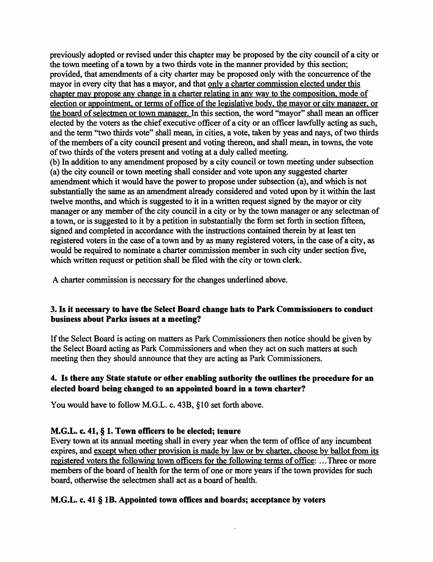previously adopted or revised under this chapter may be proposed by the city council of a city or the town meeting of a town by a two thirds vote in the manner provided by this section; provided, that amendments of a city charter may be proposed only with the concurrence of the mayor in every city that has a mayor, and that only a charter commission elected under this chapter mav propose any change in a charter relating in any wav to the composition, mode of election or appointment, or terms of office of the legislative body, the mayor or city manager, or the board of selectmen or town manager. In this section, the word "mayor" shall mean an officer elected by the voters as the chief executive officer of a city or an officer lawfully acting as such, and the term "two thirds vote" shall mean, in cities, a vote, taken by yeas and nays, of two thirds of the members of a city council present and voting thereon, and shall mean, in towns, the vote of two thirds of the voters present and voting at a duly called meeting.

(b) In addition to any amendment proposed by a city council or town meeting under subsection (a) the city council or town meeting shall consider and vote upon any suggested charter amendment which it would have the power to propose under subsection (a), and which is not substantially the same as an amendment already considered and voted upon by it within the last twelve months, and which is suggested to it in a written request signed by the mayor or city manager or any member of the city council in a city or by the town manager or any selectman of a town, or is suggested to it by a petition in substantially the form set forth in section fifteen, signed and completed in accordance with the instructions contained therein by at least ten registered voters in the case of a town and by as many registered voters, in the case of a city, as would be required to nominate a charter commission member in such city under section five, which written request or petition shall be filed with the city or town clerk.

A charter commission is necessary for the changes underlined above.

## **3. Is it necessary to have the Select Board change hats to Park Commissioners to conduct business about Parks issues at a meeting?**

If the Select Board is acting on matters as Park Commissioners then notice should be given by the Select Board acting as Park Commissioners and when they act on such matters at such meeting then they should announce that they are acting as Park Commissioners.

## **4. Is there any State statute or other enabling authority the outlines the procedure for an elected board being changed to an appointed board in a town charter?**

You would have to follow M.G.L. c. 43B, §10 set forth above.

## **M.G.L. c. 41, § 1. Town officers to be elected; tenure**

Every town at its annual meeting shall in every year when the term of office of any incumbent expires, and except when other provision is made by law or by charter, choose by ballot from its registered voters the following town officers for the following terms of office:...Three or more members of the board of health for the term of one or more years if the town provides for such board, otherwise the selectmen shall act as a board of health.

# **M.G.L. c. 41 § IB. Appointed town offices and boards; acceptance by voters**